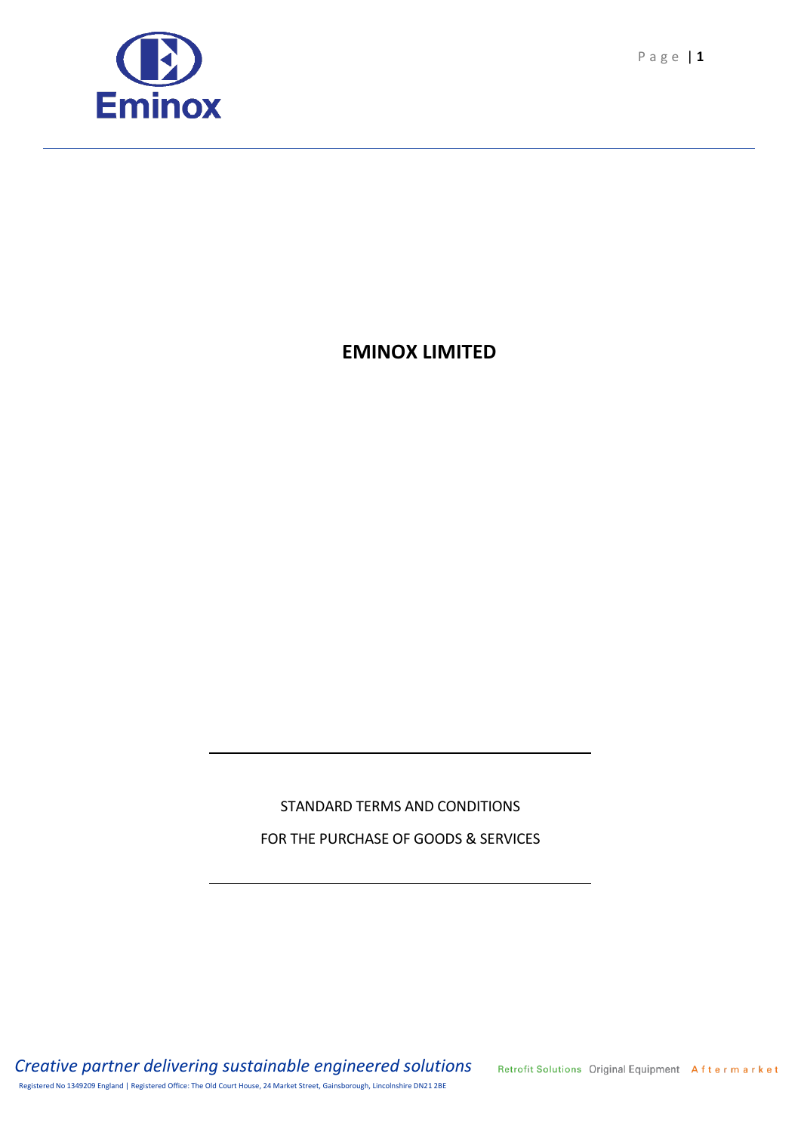

# **EMINOX LIMITED**

## STANDARD TERMS AND CONDITIONS

FOR THE PURCHASE OF GOODS & SERVICES

*Creative partner delivering sustainable engineered solutions*  Registered No 1349209 England | Registered Office: The Old Court House, 24 Market Street, Gainsborough, Lincolnshire DN21 2BE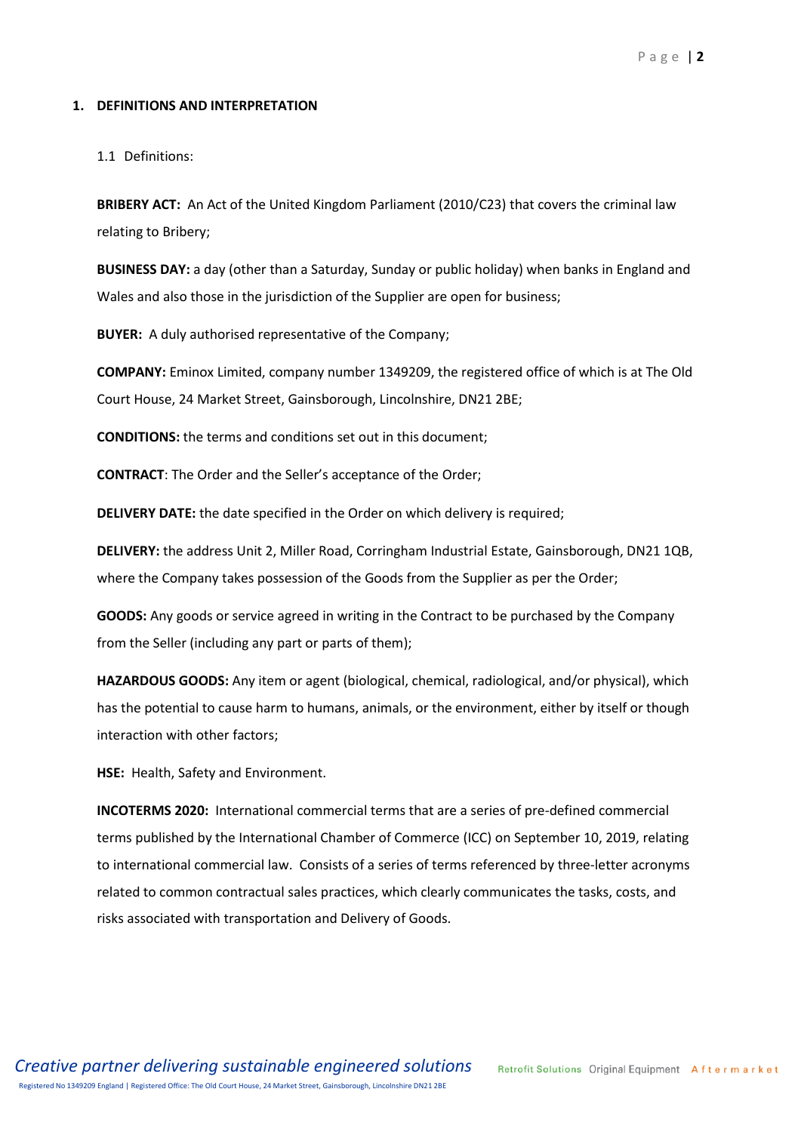#### **1. DEFINITIONS AND INTERPRETATION**

## 1.1 Definitions:

**BRIBERY ACT:** An Act of the United Kingdom Parliament (2010/C23) that covers the criminal law relating to Bribery;

**BUSINESS DAY:** a day (other than a Saturday, Sunday or public holiday) when banks in England and Wales and also those in the jurisdiction of the Supplier are open for business;

**BUYER:** A duly authorised representative of the Company;

**COMPANY:** Eminox Limited, company number 1349209, the registered office of which is at The Old Court House, 24 Market Street, Gainsborough, Lincolnshire, DN21 2BE;

**CONDITIONS:** the terms and conditions set out in this document;

**CONTRACT**: The Order and the Seller's acceptance of the Order;

**DELIVERY DATE:** the date specified in the Order on which delivery is required;

**DELIVERY:** the address Unit 2, Miller Road, Corringham Industrial Estate, Gainsborough, DN21 1QB, where the Company takes possession of the Goods from the Supplier as per the Order;

**GOODS:** Any goods or service agreed in writing in the Contract to be purchased by the Company from the Seller (including any part or parts of them);

**HAZARDOUS GOODS:** Any item or agent (biological, chemical, radiological, and/or physical), which has the potential to cause harm to humans, animals, or the environment, either by itself or though interaction with other factors;

**HSE:** Health, Safety and Environment.

**INCOTERMS 2020:** International commercial terms that are a series of pre-defined commercial terms published by the International Chamber of Commerce (ICC) on September 10, 2019, relating to international commercial law. Consists of a series of terms referenced by three-letter acronyms related to common contractual sales practices, which clearly communicates the tasks, costs, and risks associated with transportation and Delivery of Goods.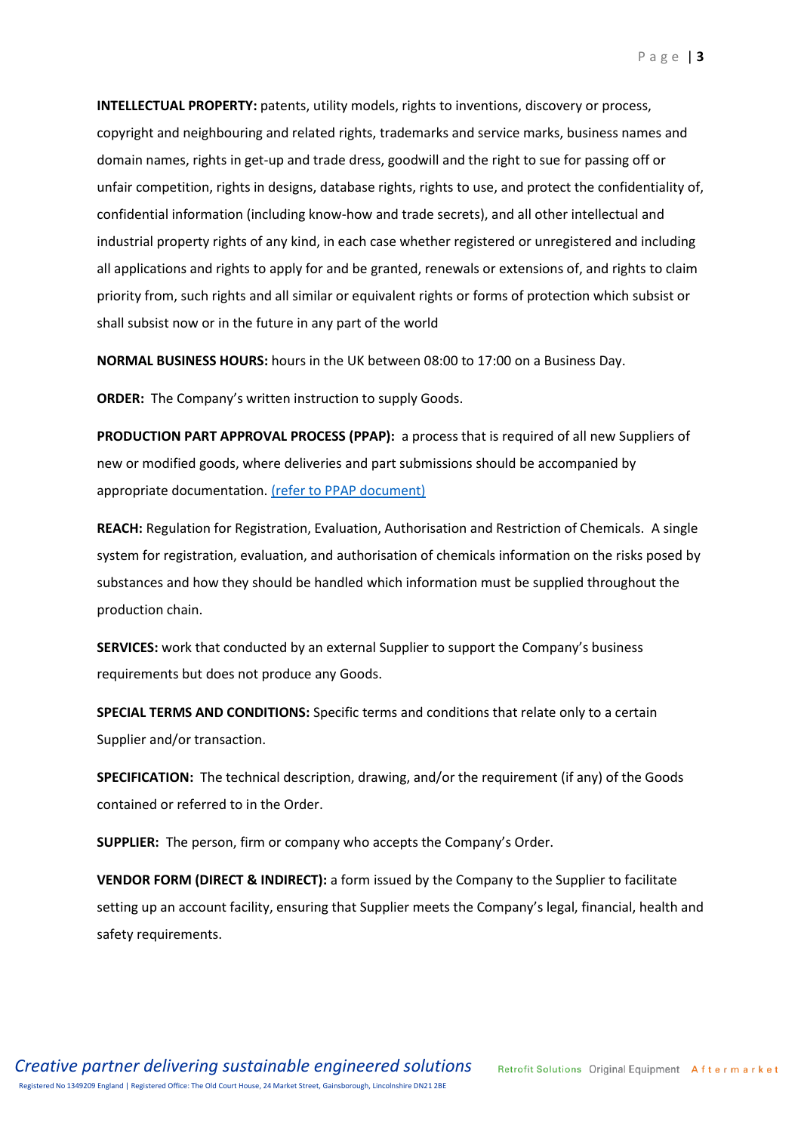**INTELLECTUAL PROPERTY:** patents, utility models, rights to inventions, discovery or process, copyright and neighbouring and related rights, trademarks and service marks, business names and domain names, rights in get-up and trade dress, goodwill and the right to sue for passing off or unfair competition, rights in designs, database rights, rights to use, and protect the confidentiality of, confidential information (including know-how and trade secrets), and all other intellectual and

industrial property rights of any kind, in each case whether registered or unregistered and including all applications and rights to apply for and be granted, renewals or extensions of, and rights to claim priority from, such rights and all similar or equivalent rights or forms of protection which subsist or shall subsist now or in the future in any part of the world

**NORMAL BUSINESS HOURS:** hours in the UK between 08:00 to 17:00 on a Business Day.

**ORDER:** The Company's written instruction to supply Goods.

**PRODUCTION PART APPROVAL PROCESS (PPAP):** a process that is required of all new Suppliers of new or modified goods, where deliveries and part submissions should be accompanied by appropriate documentation[. \(refer to PPAP document\)](file://///emxfile2/shared/Shared/Procurement/PPAP%20Records/PSW%20Forms/Template_Eminox%20Part%20Submission%20Warrant%20Level%204%20issue%203.doc)

**REACH:** Regulation for Registration, Evaluation, Authorisation and Restriction of Chemicals. A single system for registration, evaluation, and authorisation of chemicals information on the risks posed by substances and how they should be handled which information must be supplied throughout the production chain.

**SERVICES:** work that conducted by an external Supplier to support the Company's business requirements but does not produce any Goods.

**SPECIAL TERMS AND CONDITIONS:** Specific terms and conditions that relate only to a certain Supplier and/or transaction.

**SPECIFICATION:** The technical description, drawing, and/or the requirement (if any) of the Goods contained or referred to in the Order.

**SUPPLIER:** The person, firm or company who accepts the Company's Order.

**VENDOR FORM (DIRECT & INDIRECT):** a form issued by the Company to the Supplier to facilitate setting up an account facility, ensuring that Supplier meets the Company's legal, financial, health and safety requirements.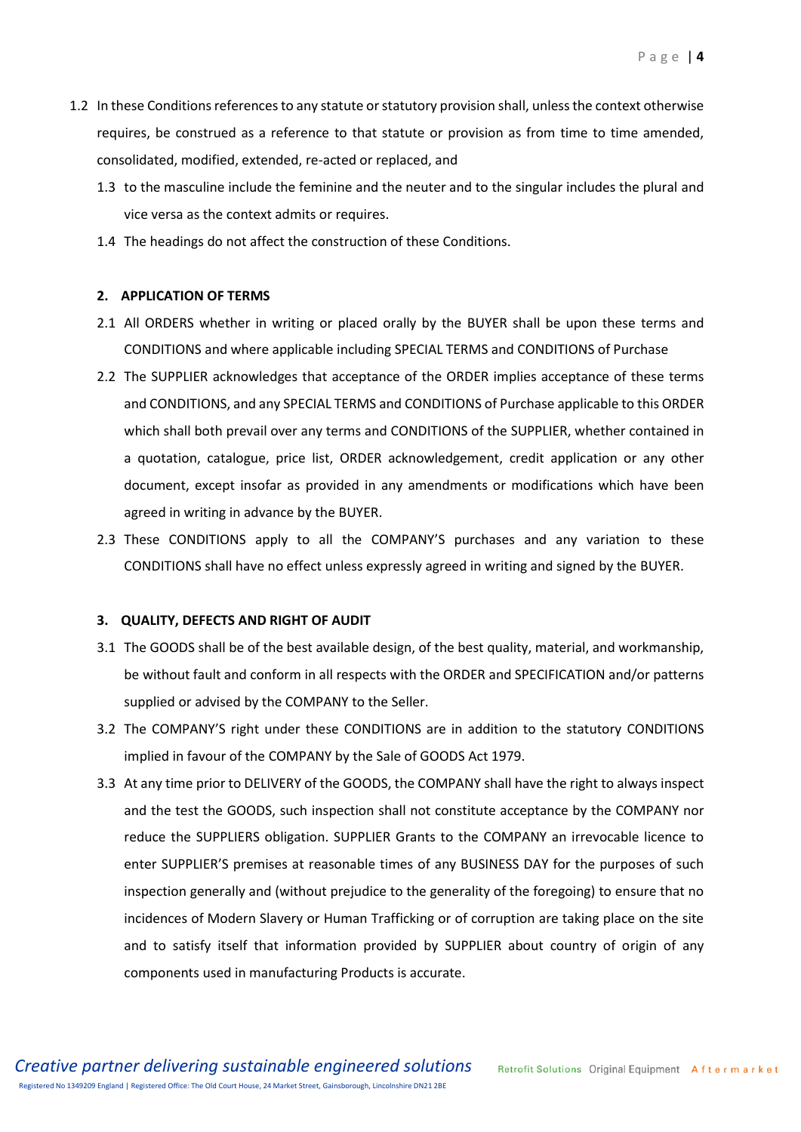- 1.2 In these Conditions references to any statute or statutory provision shall, unless the context otherwise requires, be construed as a reference to that statute or provision as from time to time amended, consolidated, modified, extended, re-acted or replaced, and
	- 1.3 to the masculine include the feminine and the neuter and to the singular includes the plural and vice versa as the context admits or requires.
	- 1.4 The headings do not affect the construction of these Conditions.

## **2. APPLICATION OF TERMS**

- 2.1 All ORDERS whether in writing or placed orally by the BUYER shall be upon these terms and CONDITIONS and where applicable including SPECIAL TERMS and CONDITIONS of Purchase
- 2.2 The SUPPLIER acknowledges that acceptance of the ORDER implies acceptance of these terms and CONDITIONS, and any SPECIAL TERMS and CONDITIONS of Purchase applicable to this ORDER which shall both prevail over any terms and CONDITIONS of the SUPPLIER, whether contained in a quotation, catalogue, price list, ORDER acknowledgement, credit application or any other document, except insofar as provided in any amendments or modifications which have been agreed in writing in advance by the BUYER.
- 2.3 These CONDITIONS apply to all the COMPANY'S purchases and any variation to these CONDITIONS shall have no effect unless expressly agreed in writing and signed by the BUYER.

#### **3. QUALITY, DEFECTS AND RIGHT OF AUDIT**

- 3.1 The GOODS shall be of the best available design, of the best quality, material, and workmanship, be without fault and conform in all respects with the ORDER and SPECIFICATION and/or patterns supplied or advised by the COMPANY to the Seller.
- 3.2 The COMPANY'S right under these CONDITIONS are in addition to the statutory CONDITIONS implied in favour of the COMPANY by the Sale of GOODS Act 1979.
- 3.3 At any time prior to DELIVERY of the GOODS, the COMPANY shall have the right to always inspect and the test the GOODS, such inspection shall not constitute acceptance by the COMPANY nor reduce the SUPPLIERS obligation. SUPPLIER Grants to the COMPANY an irrevocable licence to enter SUPPLIER'S premises at reasonable times of any BUSINESS DAY for the purposes of such inspection generally and (without prejudice to the generality of the foregoing) to ensure that no incidences of Modern Slavery or Human Trafficking or of corruption are taking place on the site and to satisfy itself that information provided by SUPPLIER about country of origin of any components used in manufacturing Products is accurate.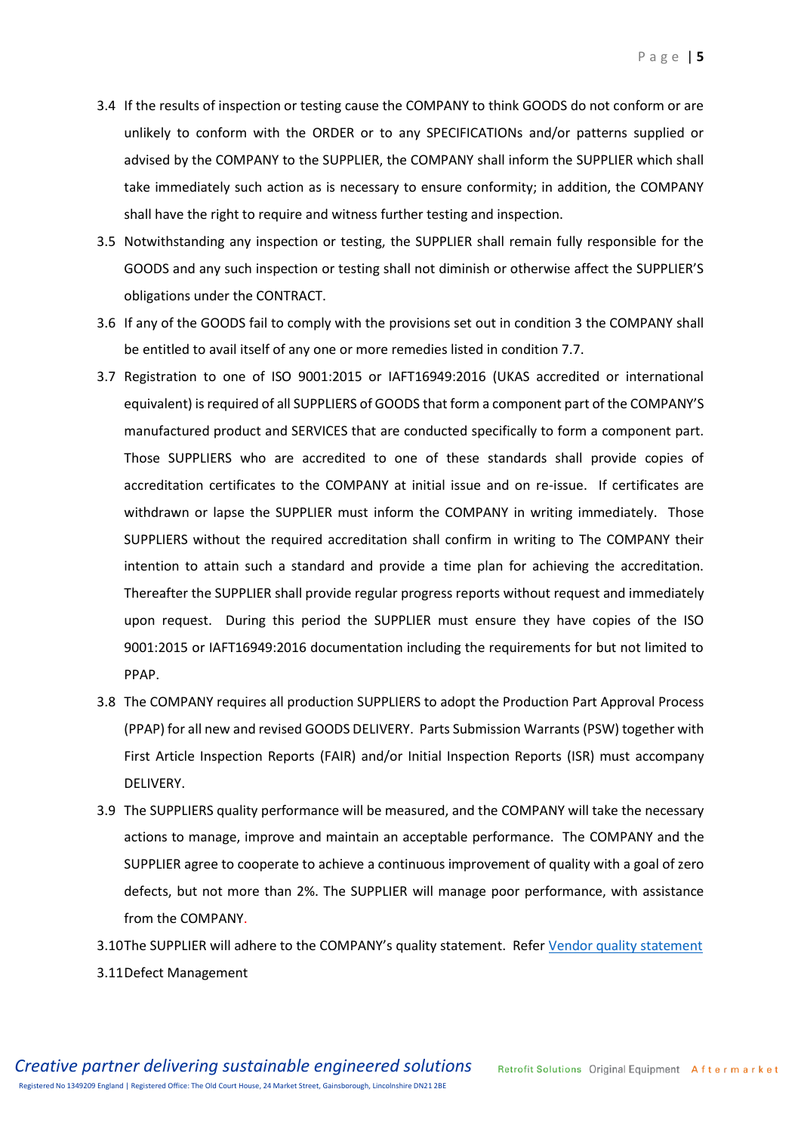- 3.4 If the results of inspection or testing cause the COMPANY to think GOODS do not conform or are unlikely to conform with the ORDER or to any SPECIFICATIONs and/or patterns supplied or advised by the COMPANY to the SUPPLIER, the COMPANY shall inform the SUPPLIER which shall take immediately such action as is necessary to ensure conformity; in addition, the COMPANY shall have the right to require and witness further testing and inspection.
- 3.5 Notwithstanding any inspection or testing, the SUPPLIER shall remain fully responsible for the GOODS and any such inspection or testing shall not diminish or otherwise affect the SUPPLIER'S obligations under the CONTRACT.
- 3.6 If any of the GOODS fail to comply with the provisions set out in condition 3 the COMPANY shall be entitled to avail itself of any one or more remedies listed in condition 7.7.
- 3.7 Registration to one of ISO 9001:2015 or IAFT16949:2016 (UKAS accredited or international equivalent) is required of all SUPPLIERS of GOODS that form a component part of the COMPANY'S manufactured product and SERVICES that are conducted specifically to form a component part. Those SUPPLIERS who are accredited to one of these standards shall provide copies of accreditation certificates to the COMPANY at initial issue and on re-issue. If certificates are withdrawn or lapse the SUPPLIER must inform the COMPANY in writing immediately. Those SUPPLIERS without the required accreditation shall confirm in writing to The COMPANY their intention to attain such a standard and provide a time plan for achieving the accreditation. Thereafter the SUPPLIER shall provide regular progress reports without request and immediately upon request. During this period the SUPPLIER must ensure they have copies of the ISO 9001:2015 or IAFT16949:2016 documentation including the requirements for but not limited to PPAP.
- 3.8 The COMPANY requires all production SUPPLIERS to adopt the Production Part Approval Process (PPAP) for all new and revised GOODS DELIVERY. Parts Submission Warrants (PSW) together with First Article Inspection Reports (FAIR) and/or Initial Inspection Reports (ISR) must accompany DELIVERY.
- 3.9 The SUPPLIERS quality performance will be measured, and the COMPANY will take the necessary actions to manage, improve and maintain an acceptable performance. The COMPANY and the SUPPLIER agree to cooperate to achieve a continuous improvement of quality with a goal of zero defects, but not more than 2%. The SUPPLIER will manage poor performance, with assistance from the COMPANY.
- 3.10The SUPPLIER will adhere to the COMPANY's quality statement. Refer [Vendor quality statement](file://///emxfile2/shared/Shared/Procurement/Master%20Documents/Procedures%202016/SCM%20-%20PROC04%20Vendor%20quality%20statement.docx) 3.11Defect Management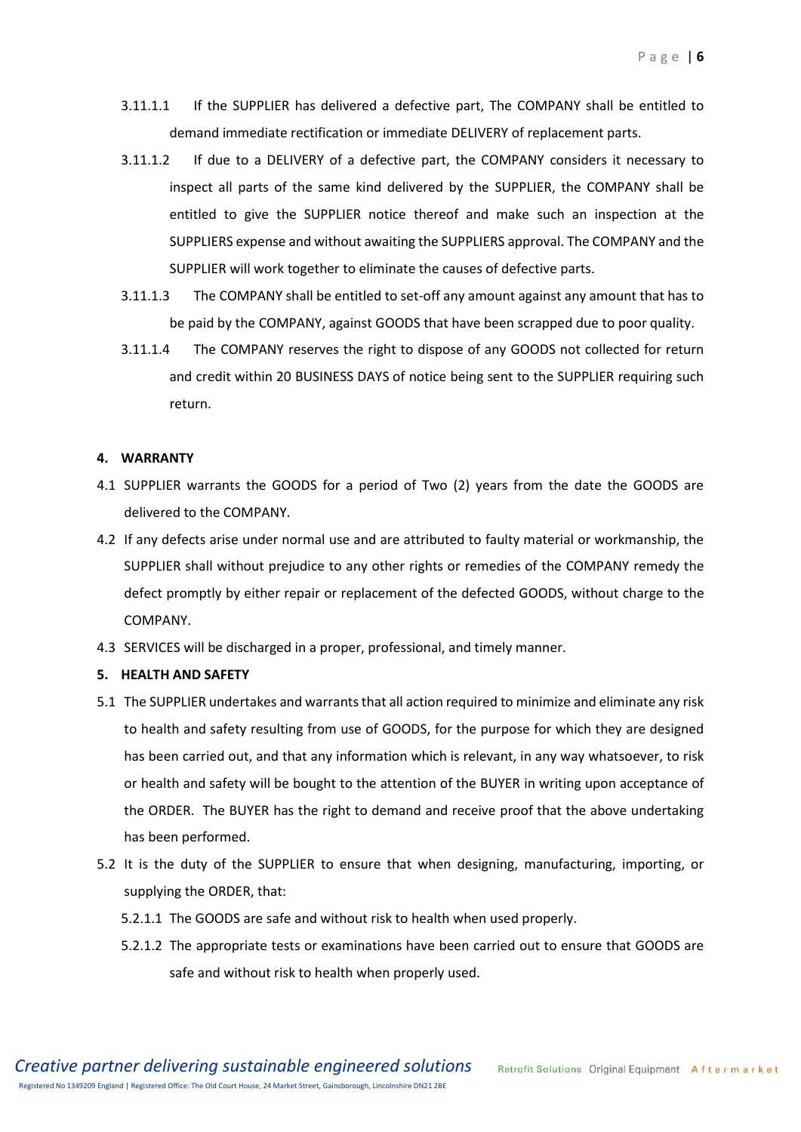- 3.11.1.1 If the SUPPLIER has delivered a defective part, The COMPANY shall be entitled to demand immediate rectification or immediate DELIVERY of replacement parts.
- 3.11.1.2 If due to a DELIVERY of a defective part, the COMPANY considers it necessary to inspect all parts of the same kind delivered by the SUPPLIER, the COMPANY shall be entitled to give the SUPPLIER notice thereof and make such an inspection at the SUPPLIERS expense and without awaiting the SUPPLIERS approval. The COMPANY and the SUPPLIER will work together to eliminate the causes of defective parts.
- 3.11.1.3 The COMPANY shall be entitled to set-off any amount against any amount that has to be paid by the COMPANY, against GOODS that have been scrapped due to poor quality.
- 3.11.1.4 The COMPANY reserves the right to dispose of any GOODS not collected for return and credit within 20 BUSINESS DAYS of notice being sent to the SUPPLIER requiring such return.

## **4. WARRANTY**

- 4.1 SUPPLIER warrants the GOODS for a period of Two (2) years from the date the GOODS are delivered to the COMPANY.
- 4.2 If any defects arise under normal use and are attributed to faulty material or workmanship, the SUPPLIER shall without prejudice to any other rights or remedies of the COMPANY remedy the defect promptly by either repair or replacement of the defected GOODS, without charge to the COMPANY.
- 4.3 SERVICES will be discharged in a proper, professional, and timely manner.

#### **5. HEALTH AND SAFETY**

- 5.1 The SUPPLIER undertakes and warrants that all action required to minimize and eliminate any risk to health and safety resulting from use of GOODS, for the purpose for which they are designed has been carried out, and that any information which is relevant, in any way whatsoever, to risk or health and safety will be bought to the attention of the BUYER in writing upon acceptance of the ORDER. The BUYER has the right to demand and receive proof that the above undertaking has been performed.
- 5.2 It is the duty of the SUPPLIER to ensure that when designing, manufacturing, importing, or supplying the ORDER, that:
	- 5.2.1.1 The GOODS are safe and without risk to health when used properly.
	- 5.2.1.2 The appropriate tests or examinations have been carried out to ensure that GOODS are safe and without risk to health when properly used.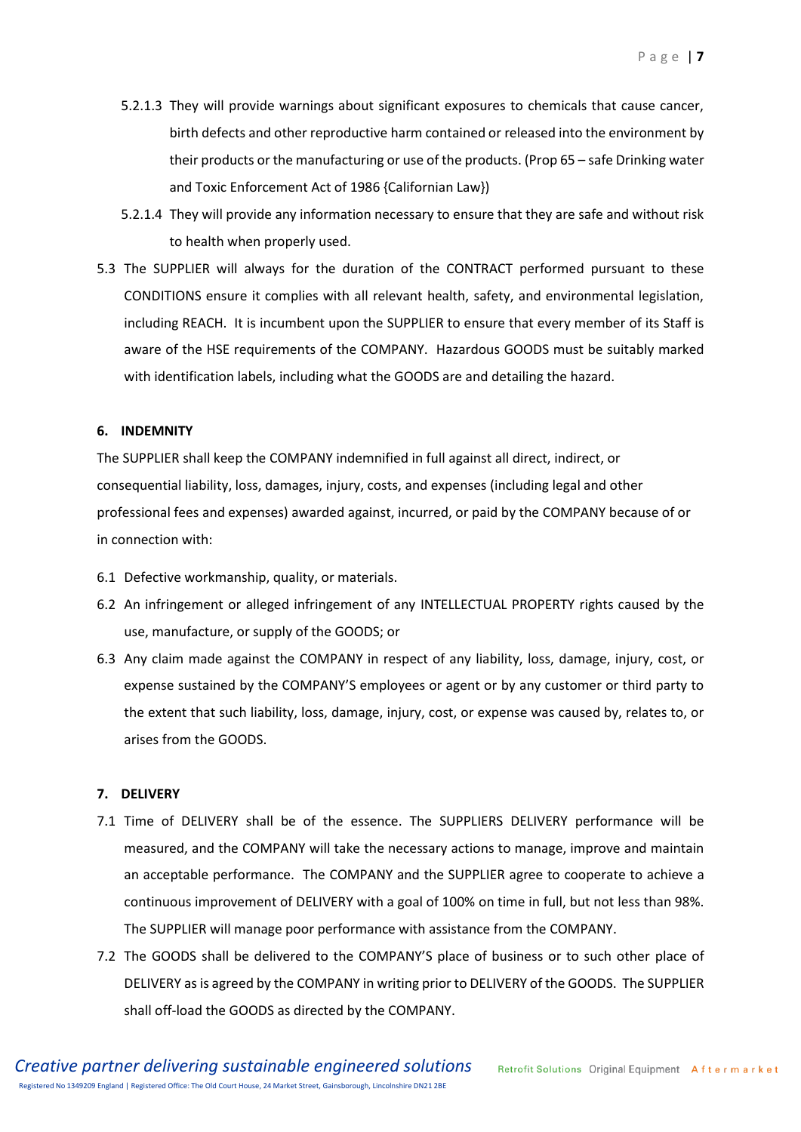- 5.2.1.3 They will provide warnings about significant exposures to chemicals that cause cancer, birth defects and other reproductive harm contained or released into the environment by their products or the manufacturing or use of the products. (Prop 65 – safe Drinking water and Toxic Enforcement Act of 1986 {Californian Law})
- 5.2.1.4 They will provide any information necessary to ensure that they are safe and without risk to health when properly used.
- 5.3 The SUPPLIER will always for the duration of the CONTRACT performed pursuant to these CONDITIONS ensure it complies with all relevant health, safety, and environmental legislation, including REACH. It is incumbent upon the SUPPLIER to ensure that every member of its Staff is aware of the HSE requirements of the COMPANY. Hazardous GOODS must be suitably marked with identification labels, including what the GOODS are and detailing the hazard.

## **6. INDEMNITY**

The SUPPLIER shall keep the COMPANY indemnified in full against all direct, indirect, or consequential liability, loss, damages, injury, costs, and expenses (including legal and other professional fees and expenses) awarded against, incurred, or paid by the COMPANY because of or in connection with:

- 6.1 Defective workmanship, quality, or materials.
- 6.2 An infringement or alleged infringement of any INTELLECTUAL PROPERTY rights caused by the use, manufacture, or supply of the GOODS; or
- 6.3 Any claim made against the COMPANY in respect of any liability, loss, damage, injury, cost, or expense sustained by the COMPANY'S employees or agent or by any customer or third party to the extent that such liability, loss, damage, injury, cost, or expense was caused by, relates to, or arises from the GOODS.

#### **7. DELIVERY**

- 7.1 Time of DELIVERY shall be of the essence. The SUPPLIERS DELIVERY performance will be measured, and the COMPANY will take the necessary actions to manage, improve and maintain an acceptable performance. The COMPANY and the SUPPLIER agree to cooperate to achieve a continuous improvement of DELIVERY with a goal of 100% on time in full, but not less than 98%. The SUPPLIER will manage poor performance with assistance from the COMPANY.
- 7.2 The GOODS shall be delivered to the COMPANY'S place of business or to such other place of DELIVERY as is agreed by the COMPANY in writing prior to DELIVERY of the GOODS. The SUPPLIER shall off-load the GOODS as directed by the COMPANY.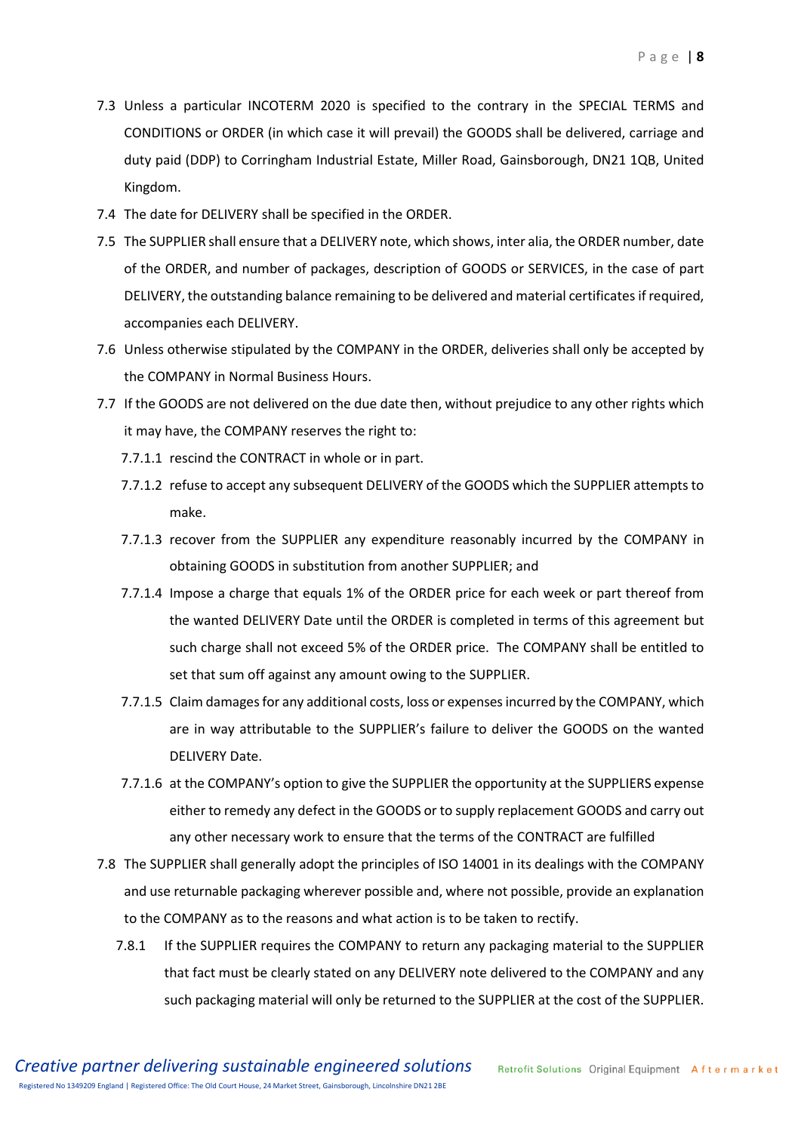- 7.3 Unless a particular INCOTERM 2020 is specified to the contrary in the SPECIAL TERMS and CONDITIONS or ORDER (in which case it will prevail) the GOODS shall be delivered, carriage and duty paid (DDP) to Corringham Industrial Estate, Miller Road, Gainsborough, DN21 1QB, United Kingdom.
- 7.4 The date for DELIVERY shall be specified in the ORDER.
- 7.5 The SUPPLIER shall ensure that a DELIVERY note, which shows, inter alia, the ORDER number, date of the ORDER, and number of packages, description of GOODS or SERVICES, in the case of part DELIVERY, the outstanding balance remaining to be delivered and material certificates if required, accompanies each DELIVERY.
- 7.6 Unless otherwise stipulated by the COMPANY in the ORDER, deliveries shall only be accepted by the COMPANY in Normal Business Hours.
- 7.7 If the GOODS are not delivered on the due date then, without prejudice to any other rights which it may have, the COMPANY reserves the right to:
	- 7.7.1.1 rescind the CONTRACT in whole or in part.
	- 7.7.1.2 refuse to accept any subsequent DELIVERY of the GOODS which the SUPPLIER attempts to make.
	- 7.7.1.3 recover from the SUPPLIER any expenditure reasonably incurred by the COMPANY in obtaining GOODS in substitution from another SUPPLIER; and
	- 7.7.1.4 Impose a charge that equals 1% of the ORDER price for each week or part thereof from the wanted DELIVERY Date until the ORDER is completed in terms of this agreement but such charge shall not exceed 5% of the ORDER price. The COMPANY shall be entitled to set that sum off against any amount owing to the SUPPLIER.
	- 7.7.1.5 Claim damages for any additional costs, loss or expenses incurred by the COMPANY, which are in way attributable to the SUPPLIER's failure to deliver the GOODS on the wanted DELIVERY Date.
	- 7.7.1.6 at the COMPANY's option to give the SUPPLIER the opportunity at the SUPPLIERS expense either to remedy any defect in the GOODS or to supply replacement GOODS and carry out any other necessary work to ensure that the terms of the CONTRACT are fulfilled
- 7.8 The SUPPLIER shall generally adopt the principles of ISO 14001 in its dealings with the COMPANY and use returnable packaging wherever possible and, where not possible, provide an explanation to the COMPANY as to the reasons and what action is to be taken to rectify.
	- 7.8.1 If the SUPPLIER requires the COMPANY to return any packaging material to the SUPPLIER that fact must be clearly stated on any DELIVERY note delivered to the COMPANY and any such packaging material will only be returned to the SUPPLIER at the cost of the SUPPLIER.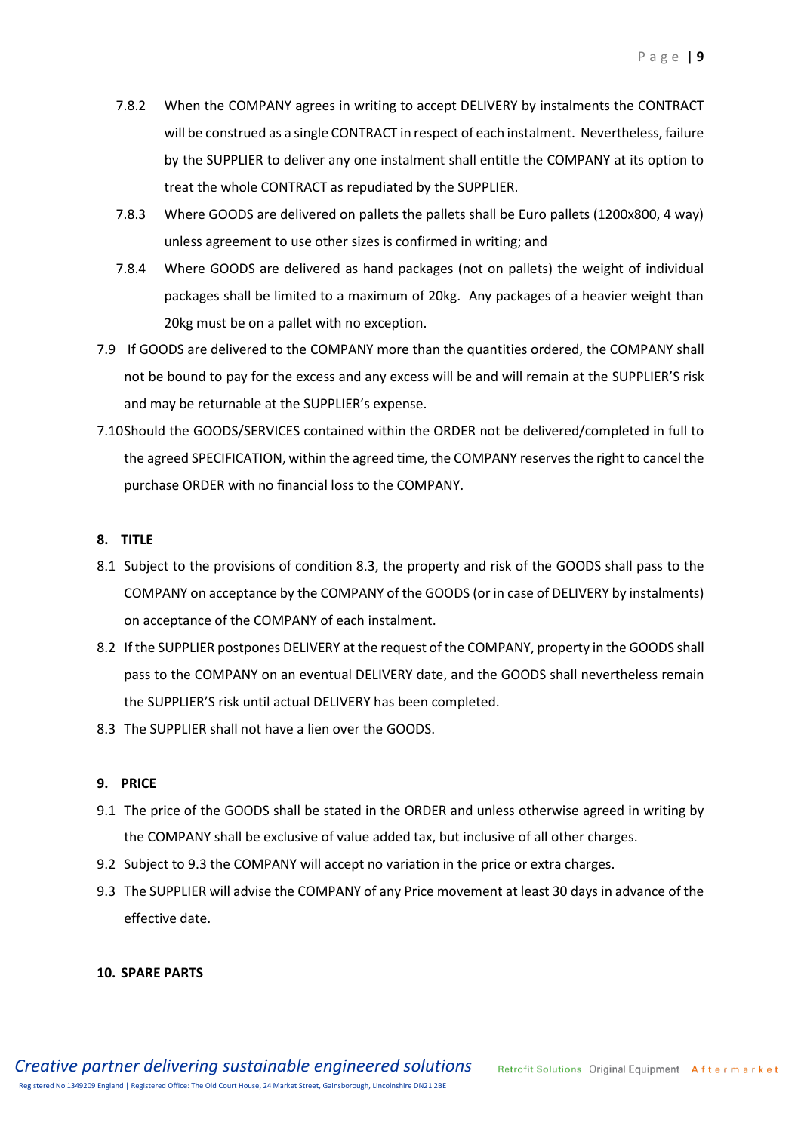- 7.8.2 When the COMPANY agrees in writing to accept DELIVERY by instalments the CONTRACT will be construed as a single CONTRACT in respect of each instalment. Nevertheless, failure by the SUPPLIER to deliver any one instalment shall entitle the COMPANY at its option to treat the whole CONTRACT as repudiated by the SUPPLIER.
- 7.8.3 Where GOODS are delivered on pallets the pallets shall be Euro pallets (1200x800, 4 way) unless agreement to use other sizes is confirmed in writing; and
- 7.8.4 Where GOODS are delivered as hand packages (not on pallets) the weight of individual packages shall be limited to a maximum of 20kg. Any packages of a heavier weight than 20kg must be on a pallet with no exception.
- 7.9 If GOODS are delivered to the COMPANY more than the quantities ordered, the COMPANY shall not be bound to pay for the excess and any excess will be and will remain at the SUPPLIER'S risk and may be returnable at the SUPPLIER's expense.
- 7.10Should the GOODS/SERVICES contained within the ORDER not be delivered/completed in full to the agreed SPECIFICATION, within the agreed time, the COMPANY reserves the right to cancel the purchase ORDER with no financial loss to the COMPANY.

## **8. TITLE**

- 8.1 Subject to the provisions of condition 8.3, the property and risk of the GOODS shall pass to the COMPANY on acceptance by the COMPANY of the GOODS (or in case of DELIVERY by instalments) on acceptance of the COMPANY of each instalment.
- 8.2 If the SUPPLIER postpones DELIVERY at the request of the COMPANY, property in the GOODS shall pass to the COMPANY on an eventual DELIVERY date, and the GOODS shall nevertheless remain the SUPPLIER'S risk until actual DELIVERY has been completed.
- 8.3 The SUPPLIER shall not have a lien over the GOODS.

#### **9. PRICE**

- 9.1 The price of the GOODS shall be stated in the ORDER and unless otherwise agreed in writing by the COMPANY shall be exclusive of value added tax, but inclusive of all other charges.
- 9.2 Subject to 9.3 the COMPANY will accept no variation in the price or extra charges.
- 9.3 The SUPPLIER will advise the COMPANY of any Price movement at least 30 days in advance of the effective date.

#### **10. SPARE PARTS**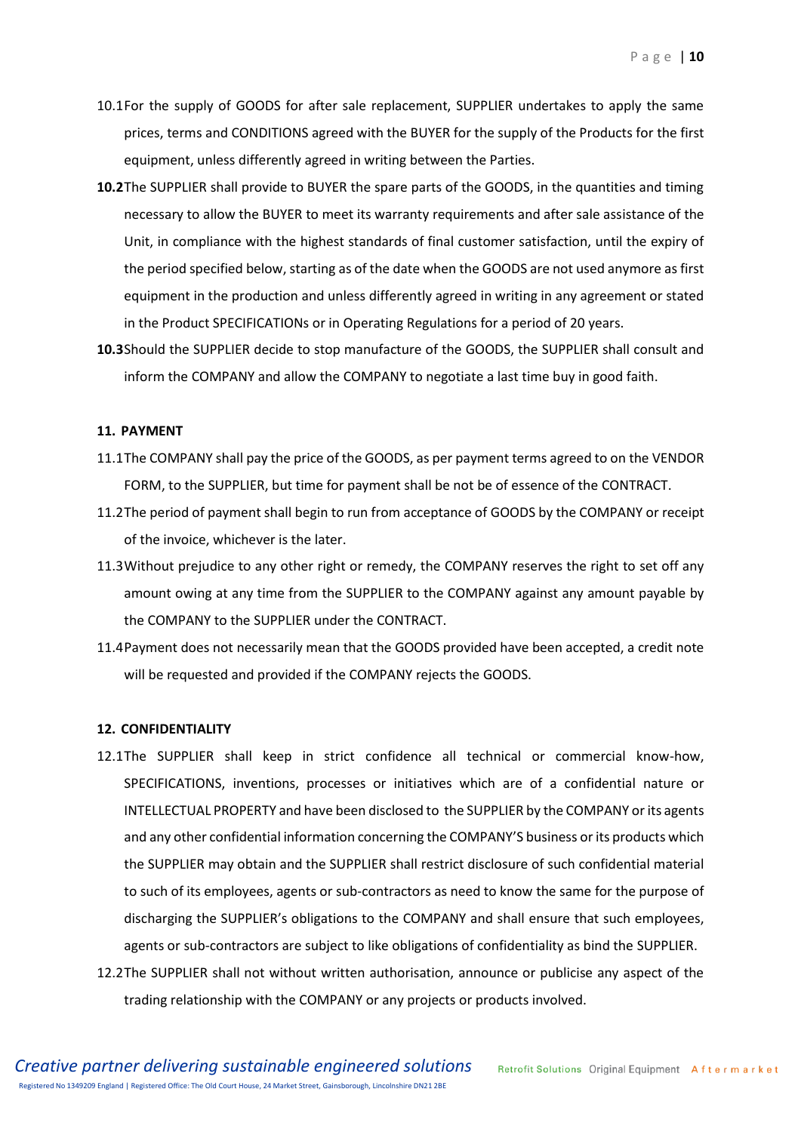- 10.1For the supply of GOODS for after sale replacement, SUPPLIER undertakes to apply the same prices, terms and CONDITIONS agreed with the BUYER for the supply of the Products for the first equipment, unless differently agreed in writing between the Parties.
- **10.2**The SUPPLIER shall provide to BUYER the spare parts of the GOODS, in the quantities and timing necessary to allow the BUYER to meet its warranty requirements and after sale assistance of the Unit, in compliance with the highest standards of final customer satisfaction, until the expiry of the period specified below, starting as of the date when the GOODS are not used anymore as first equipment in the production and unless differently agreed in writing in any agreement or stated in the Product SPECIFICATIONs or in Operating Regulations for a period of 20 years.
- **10.3**Should the SUPPLIER decide to stop manufacture of the GOODS, the SUPPLIER shall consult and inform the COMPANY and allow the COMPANY to negotiate a last time buy in good faith.

#### **11. PAYMENT**

- 11.1The COMPANY shall pay the price of the GOODS, as per payment terms agreed to on the VENDOR FORM, to the SUPPLIER, but time for payment shall be not be of essence of the CONTRACT.
- 11.2The period of payment shall begin to run from acceptance of GOODS by the COMPANY or receipt of the invoice, whichever is the later.
- 11.3Without prejudice to any other right or remedy, the COMPANY reserves the right to set off any amount owing at any time from the SUPPLIER to the COMPANY against any amount payable by the COMPANY to the SUPPLIER under the CONTRACT.
- 11.4Payment does not necessarily mean that the GOODS provided have been accepted, a credit note will be requested and provided if the COMPANY rejects the GOODS.

## **12. CONFIDENTIALITY**

- 12.1The SUPPLIER shall keep in strict confidence all technical or commercial know-how, SPECIFICATIONS, inventions, processes or initiatives which are of a confidential nature or INTELLECTUAL PROPERTY and have been disclosed to the SUPPLIER by the COMPANY or its agents and any other confidential information concerning the COMPANY'S business or its products which the SUPPLIER may obtain and the SUPPLIER shall restrict disclosure of such confidential material to such of its employees, agents or sub-contractors as need to know the same for the purpose of discharging the SUPPLIER's obligations to the COMPANY and shall ensure that such employees, agents or sub-contractors are subject to like obligations of confidentiality as bind the SUPPLIER.
- 12.2The SUPPLIER shall not without written authorisation, announce or publicise any aspect of the trading relationship with the COMPANY or any projects or products involved.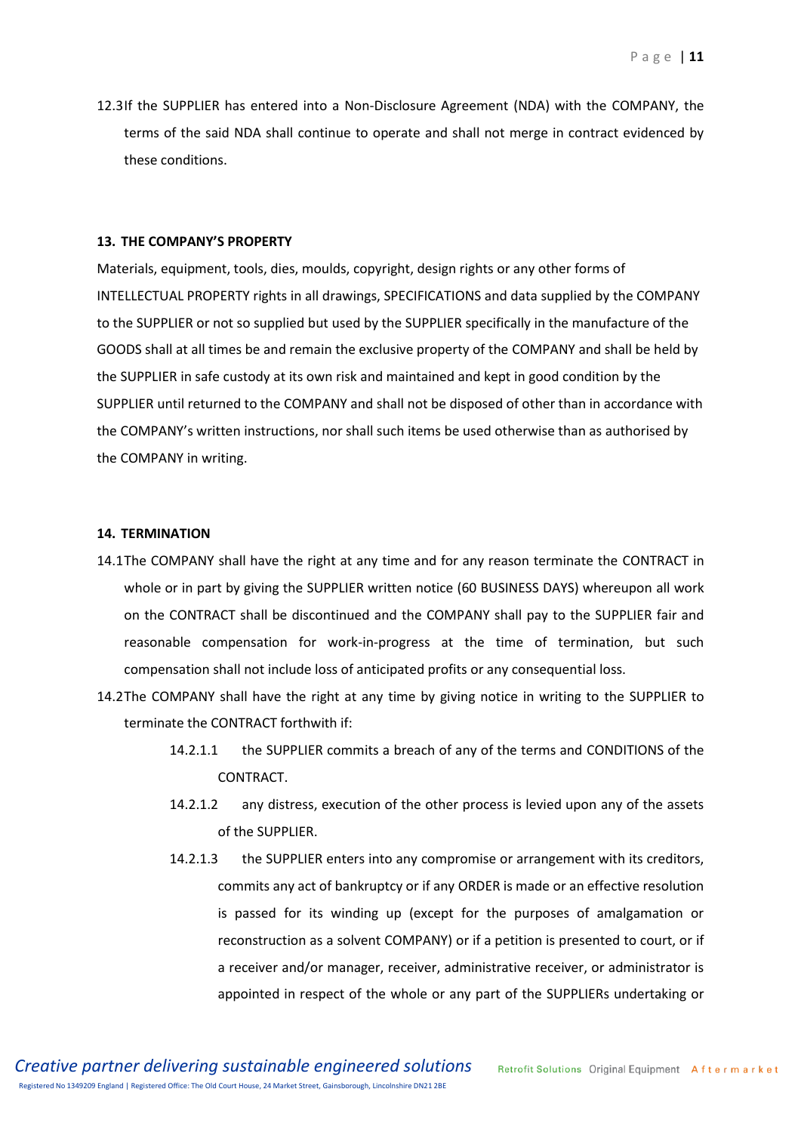12.3If the SUPPLIER has entered into a Non-Disclosure Agreement (NDA) with the COMPANY, the terms of the said NDA shall continue to operate and shall not merge in contract evidenced by these conditions.

#### **13. THE COMPANY'S PROPERTY**

Materials, equipment, tools, dies, moulds, copyright, design rights or any other forms of INTELLECTUAL PROPERTY rights in all drawings, SPECIFICATIONS and data supplied by the COMPANY to the SUPPLIER or not so supplied but used by the SUPPLIER specifically in the manufacture of the GOODS shall at all times be and remain the exclusive property of the COMPANY and shall be held by the SUPPLIER in safe custody at its own risk and maintained and kept in good condition by the SUPPLIER until returned to the COMPANY and shall not be disposed of other than in accordance with the COMPANY's written instructions, nor shall such items be used otherwise than as authorised by the COMPANY in writing.

#### **14. TERMINATION**

- 14.1The COMPANY shall have the right at any time and for any reason terminate the CONTRACT in whole or in part by giving the SUPPLIER written notice (60 BUSINESS DAYS) whereupon all work on the CONTRACT shall be discontinued and the COMPANY shall pay to the SUPPLIER fair and reasonable compensation for work-in-progress at the time of termination, but such compensation shall not include loss of anticipated profits or any consequential loss.
- 14.2The COMPANY shall have the right at any time by giving notice in writing to the SUPPLIER to terminate the CONTRACT forthwith if:
	- 14.2.1.1 the SUPPLIER commits a breach of any of the terms and CONDITIONS of the CONTRACT.
	- 14.2.1.2 any distress, execution of the other process is levied upon any of the assets of the SUPPLIER.
	- 14.2.1.3 the SUPPLIER enters into any compromise or arrangement with its creditors, commits any act of bankruptcy or if any ORDER is made or an effective resolution is passed for its winding up (except for the purposes of amalgamation or reconstruction as a solvent COMPANY) or if a petition is presented to court, or if a receiver and/or manager, receiver, administrative receiver, or administrator is appointed in respect of the whole or any part of the SUPPLIERs undertaking or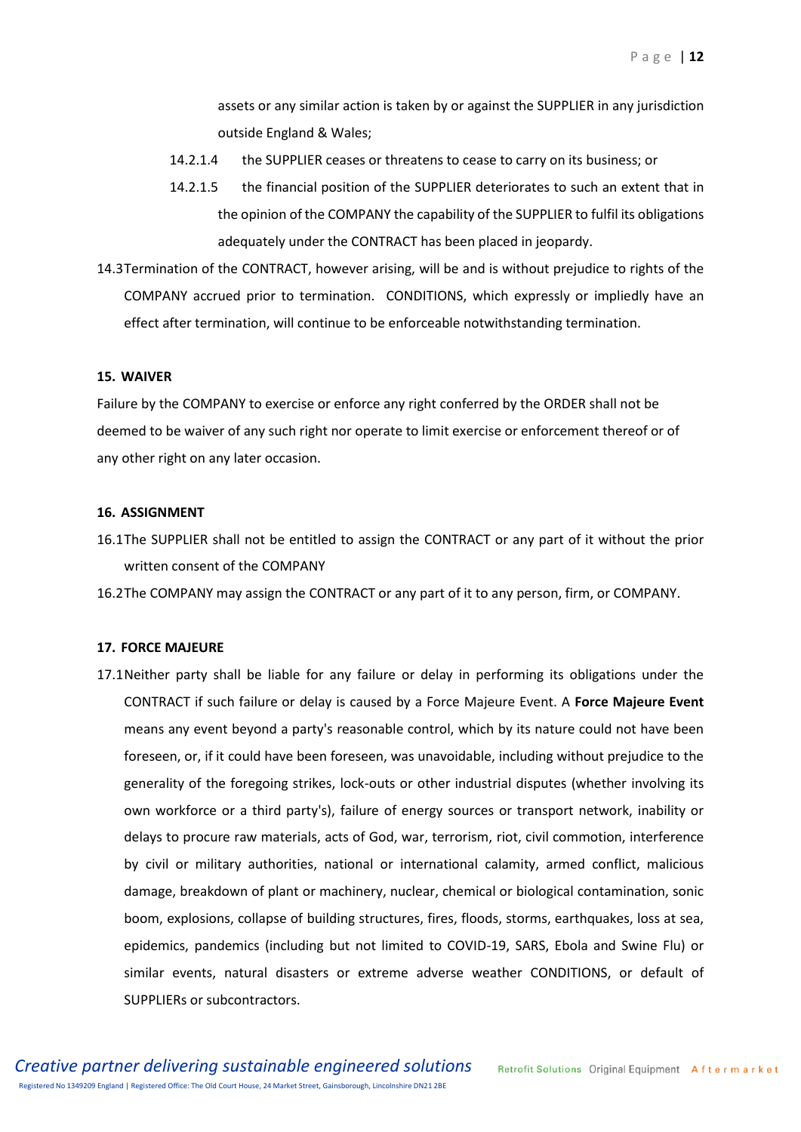assets or any similar action is taken by or against the SUPPLIER in any jurisdiction outside England & Wales;

- 14.2.1.4 the SUPPLIER ceases or threatens to cease to carry on its business; or
- 14.2.1.5 the financial position of the SUPPLIER deteriorates to such an extent that in the opinion of the COMPANY the capability of the SUPPLIER to fulfil its obligations adequately under the CONTRACT has been placed in jeopardy.
- 14.3Termination of the CONTRACT, however arising, will be and is without prejudice to rights of the COMPANY accrued prior to termination. CONDITIONS, which expressly or impliedly have an effect after termination, will continue to be enforceable notwithstanding termination.

## **15. WAIVER**

Failure by the COMPANY to exercise or enforce any right conferred by the ORDER shall not be deemed to be waiver of any such right nor operate to limit exercise or enforcement thereof or of any other right on any later occasion.

#### **16. ASSIGNMENT**

- 16.1The SUPPLIER shall not be entitled to assign the CONTRACT or any part of it without the prior written consent of the COMPANY
- 16.2The COMPANY may assign the CONTRACT or any part of it to any person, firm, or COMPANY.

## **17. FORCE MAJEURE**

17.1Neither party shall be liable for any failure or delay in performing its obligations under the CONTRACT if such failure or delay is caused by a Force Majeure Event. A **Force Majeure Event** means any event beyond a party's reasonable control, which by its nature could not have been foreseen, or, if it could have been foreseen, was unavoidable, including without prejudice to the generality of the foregoing strikes, lock-outs or other industrial disputes (whether involving its own workforce or a third party's), failure of energy sources or transport network, inability or delays to procure raw materials, acts of God, war, terrorism, riot, civil commotion, interference by civil or military authorities, national or international calamity, armed conflict, malicious damage, breakdown of plant or machinery, nuclear, chemical or biological contamination, sonic boom, explosions, collapse of building structures, fires, floods, storms, earthquakes, loss at sea, epidemics, pandemics (including but not limited to COVID-19, SARS, Ebola and Swine Flu) or similar events, natural disasters or extreme adverse weather CONDITIONS, or default of SUPPLIERs or subcontractors.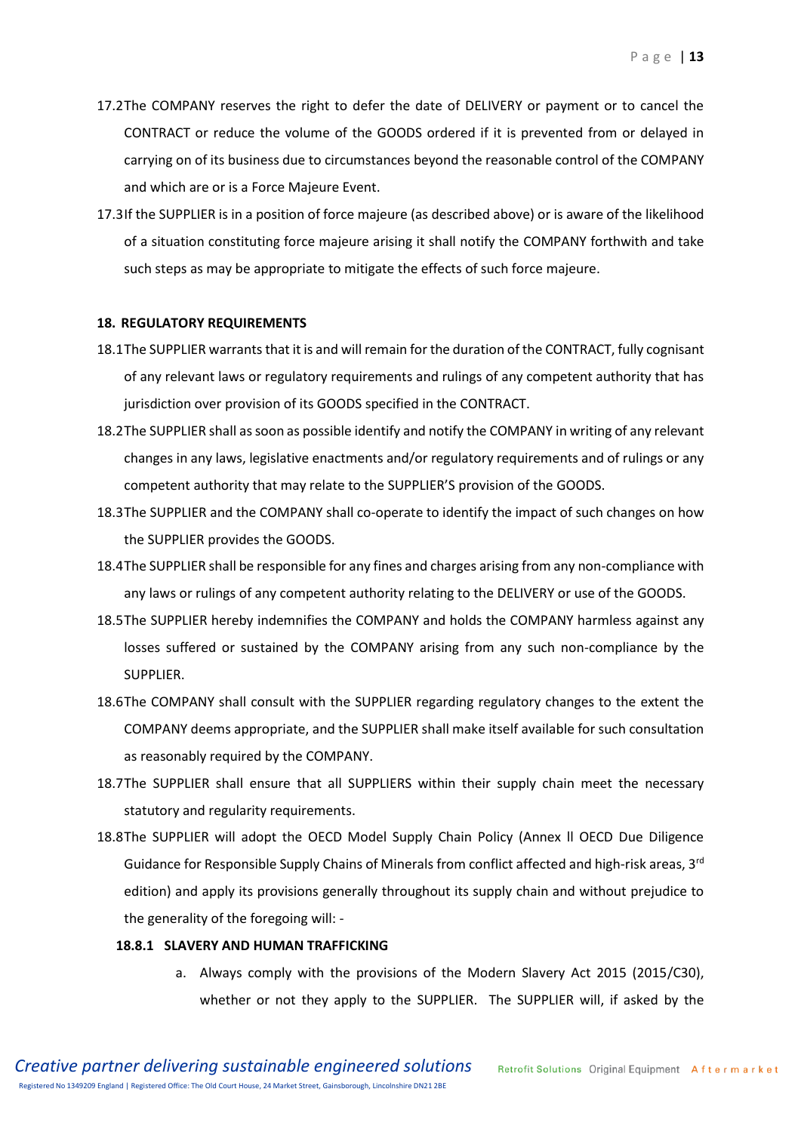- 17.2The COMPANY reserves the right to defer the date of DELIVERY or payment or to cancel the CONTRACT or reduce the volume of the GOODS ordered if it is prevented from or delayed in carrying on of its business due to circumstances beyond the reasonable control of the COMPANY and which are or is a Force Majeure Event.
- 17.3If the SUPPLIER is in a position of force majeure (as described above) or is aware of the likelihood of a situation constituting force majeure arising it shall notify the COMPANY forthwith and take such steps as may be appropriate to mitigate the effects of such force majeure.

#### **18. REGULATORY REQUIREMENTS**

- 18.1The SUPPLIER warrants that it is and will remain for the duration of the CONTRACT, fully cognisant of any relevant laws or regulatory requirements and rulings of any competent authority that has jurisdiction over provision of its GOODS specified in the CONTRACT.
- 18.2The SUPPLIER shall as soon as possible identify and notify the COMPANY in writing of any relevant changes in any laws, legislative enactments and/or regulatory requirements and of rulings or any competent authority that may relate to the SUPPLIER'S provision of the GOODS.
- 18.3The SUPPLIER and the COMPANY shall co-operate to identify the impact of such changes on how the SUPPLIER provides the GOODS.
- 18.4The SUPPLIER shall be responsible for any fines and charges arising from any non-compliance with any laws or rulings of any competent authority relating to the DELIVERY or use of the GOODS.
- 18.5The SUPPLIER hereby indemnifies the COMPANY and holds the COMPANY harmless against any losses suffered or sustained by the COMPANY arising from any such non-compliance by the SUPPLIER.
- 18.6The COMPANY shall consult with the SUPPLIER regarding regulatory changes to the extent the COMPANY deems appropriate, and the SUPPLIER shall make itself available for such consultation as reasonably required by the COMPANY.
- 18.7The SUPPLIER shall ensure that all SUPPLIERS within their supply chain meet the necessary statutory and regularity requirements.
- 18.8The SUPPLIER will adopt the OECD Model Supply Chain Policy (Annex ll OECD Due Diligence Guidance for Responsible Supply Chains of Minerals from conflict affected and high-risk areas, 3rd edition) and apply its provisions generally throughout its supply chain and without prejudice to the generality of the foregoing will: -

#### **18.8.1 SLAVERY AND HUMAN TRAFFICKING**

a. Always comply with the provisions of the Modern Slavery Act 2015 (2015/C30), whether or not they apply to the SUPPLIER. The SUPPLIER will, if asked by the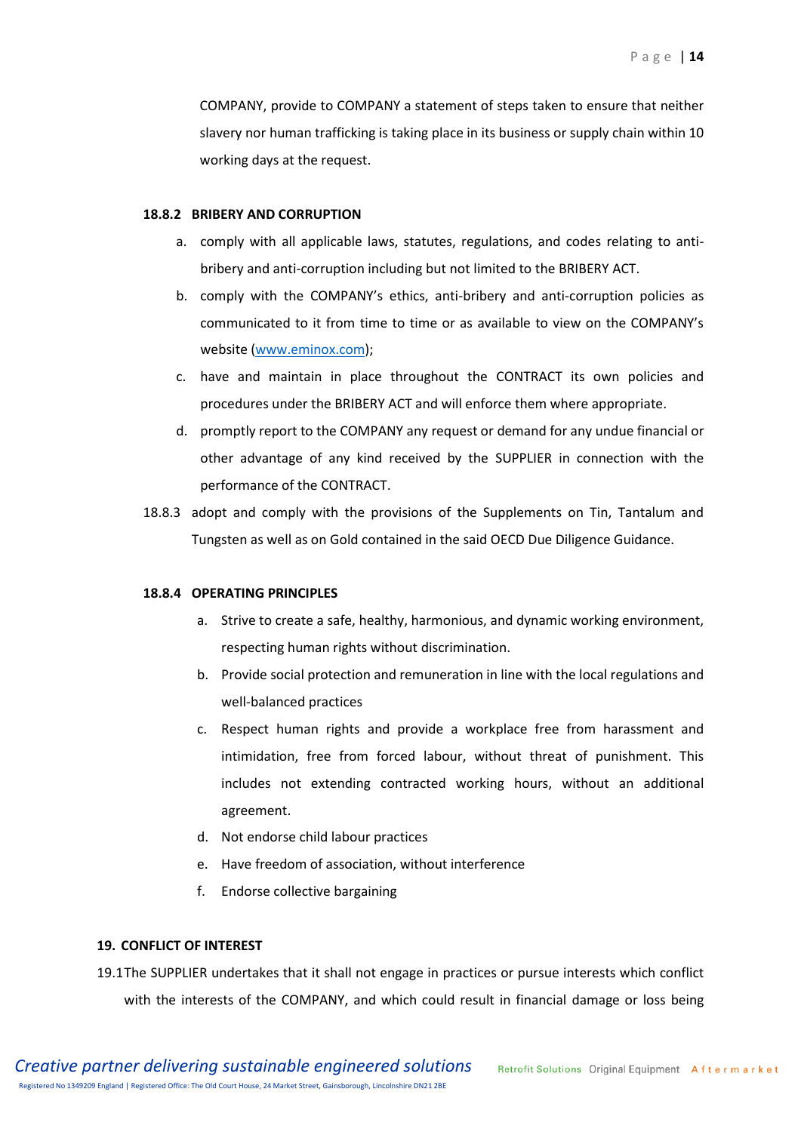COMPANY, provide to COMPANY a statement of steps taken to ensure that neither slavery nor human trafficking is taking place in its business or supply chain within 10 working days at the request.

#### **18.8.2 BRIBERY AND CORRUPTION**

- a. comply with all applicable laws, statutes, regulations, and codes relating to antibribery and anti-corruption including but not limited to the BRIBERY ACT.
- b. comply with the COMPANY's ethics, anti-bribery and anti-corruption policies as communicated to it from time to time or as available to view on the COMPANY's website [\(www.eminox.com\)](http://www.eminox.com/);
- c. have and maintain in place throughout the CONTRACT its own policies and procedures under the BRIBERY ACT and will enforce them where appropriate.
- d. promptly report to the COMPANY any request or demand for any undue financial or other advantage of any kind received by the SUPPLIER in connection with the performance of the CONTRACT.
- 18.8.3 adopt and comply with the provisions of the Supplements on Tin, Tantalum and Tungsten as well as on Gold contained in the said OECD Due Diligence Guidance.

#### **18.8.4 OPERATING PRINCIPLES**

- a. Strive to create a safe, healthy, harmonious, and dynamic working environment, respecting human rights without discrimination.
- b. Provide social protection and remuneration in line with the local regulations and well-balanced practices
- c. Respect human rights and provide a workplace free from harassment and intimidation, free from forced labour, without threat of punishment. This includes not extending contracted working hours, without an additional agreement.
- d. Not endorse child labour practices
- e. Have freedom of association, without interference
- f. Endorse collective bargaining

## **19. CONFLICT OF INTEREST**

19.1The SUPPLIER undertakes that it shall not engage in practices or pursue interests which conflict with the interests of the COMPANY, and which could result in financial damage or loss being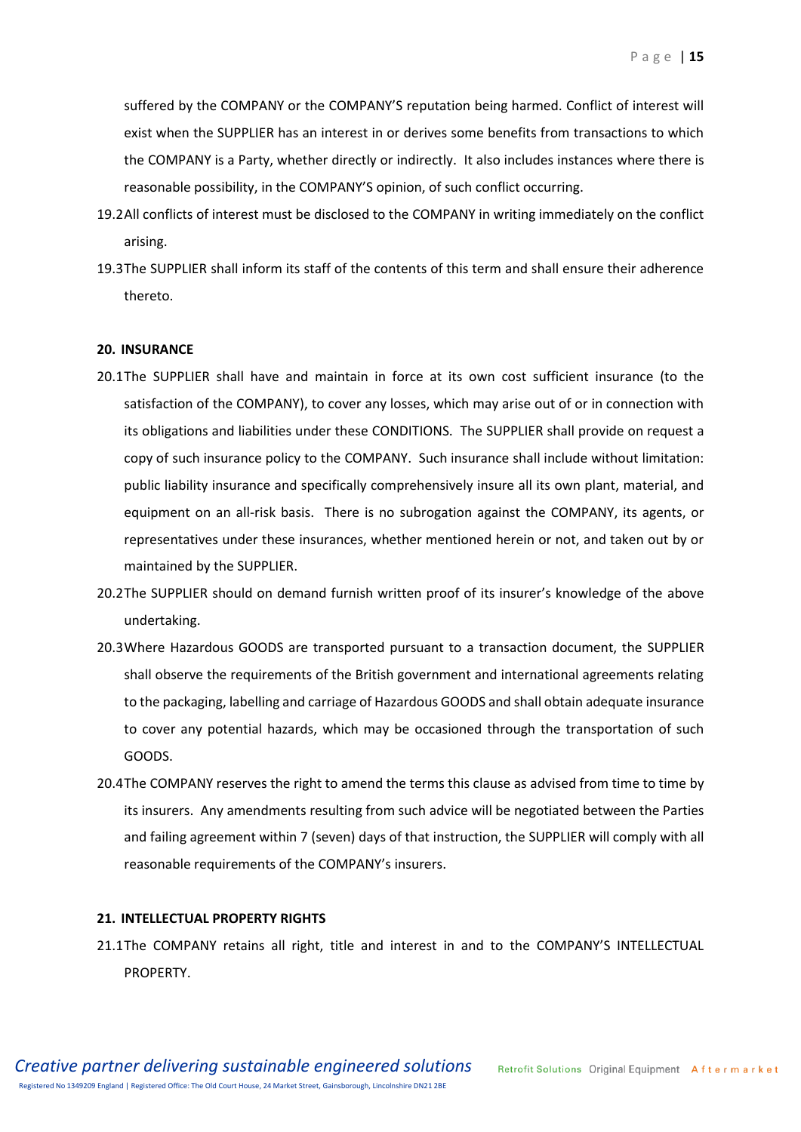suffered by the COMPANY or the COMPANY'S reputation being harmed. Conflict of interest will exist when the SUPPLIER has an interest in or derives some benefits from transactions to which the COMPANY is a Party, whether directly or indirectly. It also includes instances where there is reasonable possibility, in the COMPANY'S opinion, of such conflict occurring.

- 19.2All conflicts of interest must be disclosed to the COMPANY in writing immediately on the conflict arising.
- 19.3The SUPPLIER shall inform its staff of the contents of this term and shall ensure their adherence thereto.

#### **20. INSURANCE**

- 20.1The SUPPLIER shall have and maintain in force at its own cost sufficient insurance (to the satisfaction of the COMPANY), to cover any losses, which may arise out of or in connection with its obligations and liabilities under these CONDITIONS. The SUPPLIER shall provide on request a copy of such insurance policy to the COMPANY. Such insurance shall include without limitation: public liability insurance and specifically comprehensively insure all its own plant, material, and equipment on an all-risk basis. There is no subrogation against the COMPANY, its agents, or representatives under these insurances, whether mentioned herein or not, and taken out by or maintained by the SUPPLIER.
- 20.2The SUPPLIER should on demand furnish written proof of its insurer's knowledge of the above undertaking.
- 20.3Where Hazardous GOODS are transported pursuant to a transaction document, the SUPPLIER shall observe the requirements of the British government and international agreements relating to the packaging, labelling and carriage of Hazardous GOODS and shall obtain adequate insurance to cover any potential hazards, which may be occasioned through the transportation of such GOODS.
- 20.4The COMPANY reserves the right to amend the terms this clause as advised from time to time by its insurers. Any amendments resulting from such advice will be negotiated between the Parties and failing agreement within 7 (seven) days of that instruction, the SUPPLIER will comply with all reasonable requirements of the COMPANY's insurers.

## **21. INTELLECTUAL PROPERTY RIGHTS**

21.1The COMPANY retains all right, title and interest in and to the COMPANY'S INTELLECTUAL PROPERTY.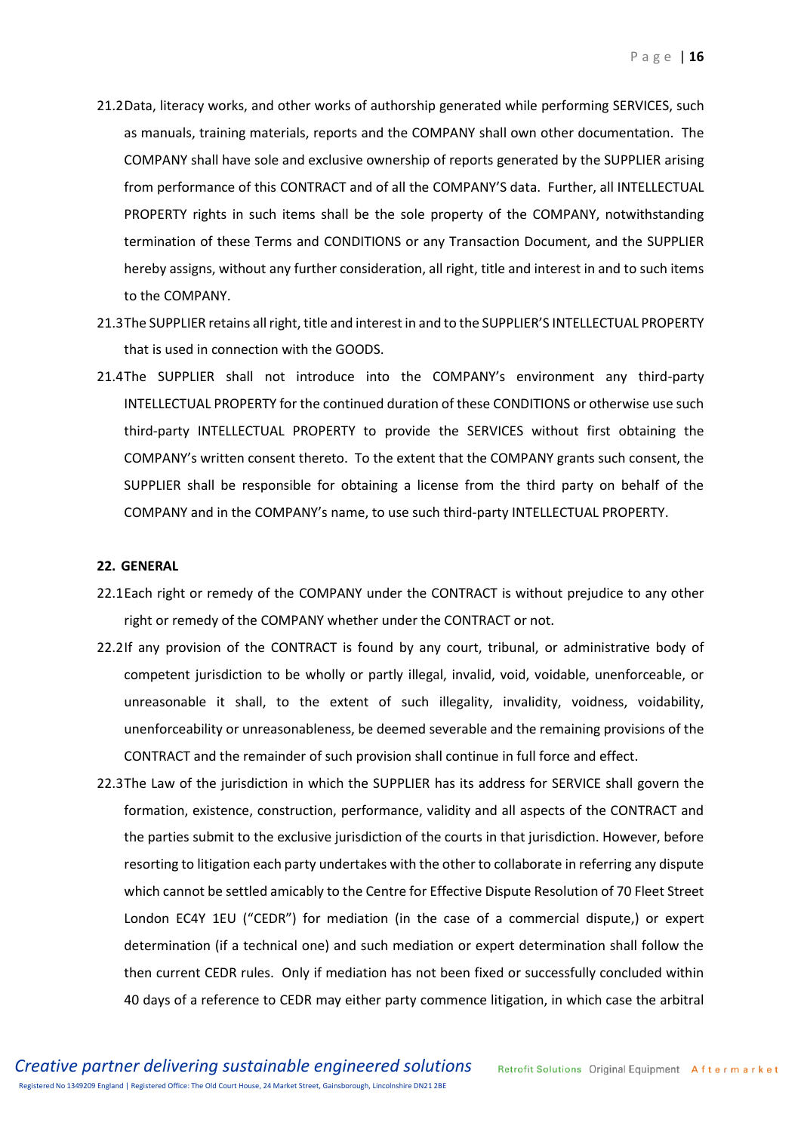- 21.2Data, literacy works, and other works of authorship generated while performing SERVICES, such as manuals, training materials, reports and the COMPANY shall own other documentation. The COMPANY shall have sole and exclusive ownership of reports generated by the SUPPLIER arising from performance of this CONTRACT and of all the COMPANY'S data. Further, all INTELLECTUAL PROPERTY rights in such items shall be the sole property of the COMPANY, notwithstanding termination of these Terms and CONDITIONS or any Transaction Document, and the SUPPLIER hereby assigns, without any further consideration, all right, title and interest in and to such items to the COMPANY.
- 21.3The SUPPLIER retains all right, title and interest in and to the SUPPLIER'S INTELLECTUAL PROPERTY that is used in connection with the GOODS.
- 21.4The SUPPLIER shall not introduce into the COMPANY's environment any third-party INTELLECTUAL PROPERTY for the continued duration of these CONDITIONS or otherwise use such third-party INTELLECTUAL PROPERTY to provide the SERVICES without first obtaining the COMPANY's written consent thereto. To the extent that the COMPANY grants such consent, the SUPPLIER shall be responsible for obtaining a license from the third party on behalf of the COMPANY and in the COMPANY's name, to use such third-party INTELLECTUAL PROPERTY.

#### **22. GENERAL**

- 22.1Each right or remedy of the COMPANY under the CONTRACT is without prejudice to any other right or remedy of the COMPANY whether under the CONTRACT or not.
- 22.2If any provision of the CONTRACT is found by any court, tribunal, or administrative body of competent jurisdiction to be wholly or partly illegal, invalid, void, voidable, unenforceable, or unreasonable it shall, to the extent of such illegality, invalidity, voidness, voidability, unenforceability or unreasonableness, be deemed severable and the remaining provisions of the CONTRACT and the remainder of such provision shall continue in full force and effect.
- 22.3The Law of the jurisdiction in which the SUPPLIER has its address for SERVICE shall govern the formation, existence, construction, performance, validity and all aspects of the CONTRACT and the parties submit to the exclusive jurisdiction of the courts in that jurisdiction. However, before resorting to litigation each party undertakes with the other to collaborate in referring any dispute which cannot be settled amicably to the Centre for Effective Dispute Resolution of 70 Fleet Street London EC4Y 1EU ("CEDR") for mediation (in the case of a commercial dispute,) or expert determination (if a technical one) and such mediation or expert determination shall follow the then current CEDR rules. Only if mediation has not been fixed or successfully concluded within 40 days of a reference to CEDR may either party commence litigation, in which case the arbitral